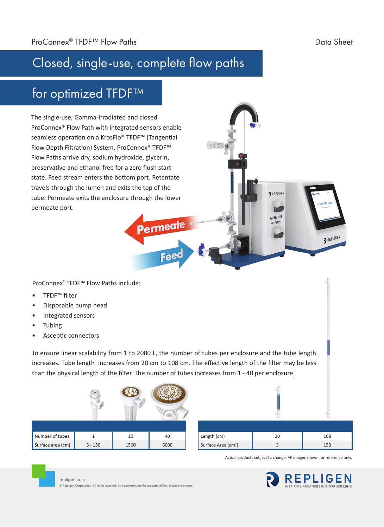PREPLIGEN

## Closed, single-use, complete flow paths

## for optimized TFDF™

The single-use, Gamma-irradiated and closed ProConnex® Flow Path with integrated sensors enable seamless operation on a KrosFlo® TFDF<sup>™</sup> (Tangential Flow Depth Filtration) System. ProConnex® TFDF™ Flow Paths arrive dry, sodium hydroxide, glycerin, preservative and ethanol free for a zero flush start state. Feed stream enters the bottom port. Retentate travels through the lumen and exits the top of the tube. Permeate exits the enclosure through the lower permeate port.

ProConnex® TFDF™ Flow Paths include:

- TFDF™ filter
- Disposable pump head
- Integrated sensors
- **Tubing**
- Asceptic connectors

repligen.com

© Repligen Corporation. All rights reserved. All trademarks are the property of their respective owners.

To ensure linear scalability from 1 to 2000 L, the number of tubes per enclosure and the tube length increases. Tube length increases from 20 cm to 108 cm. The effective length of the filter may be less than the physical length of the filter. The number of tubes increases from 1 - 40 per enclosure.

Permeate

Feed

|                   | $\bullet$ |      |      |                                 |    |     |
|-------------------|-----------|------|------|---------------------------------|----|-----|
|                   |           |      |      |                                 |    |     |
| Number of tubes   |           | 10   | 40   | Length (cm)                     | 20 | 108 |
| Surface area (cm) | $3 - 150$ | 1500 | 6000 | Surface Area (cm <sup>2</sup> ) | 3  | 150 |

Actual products subject to change. All images shown for reference only.

REPLIGEN